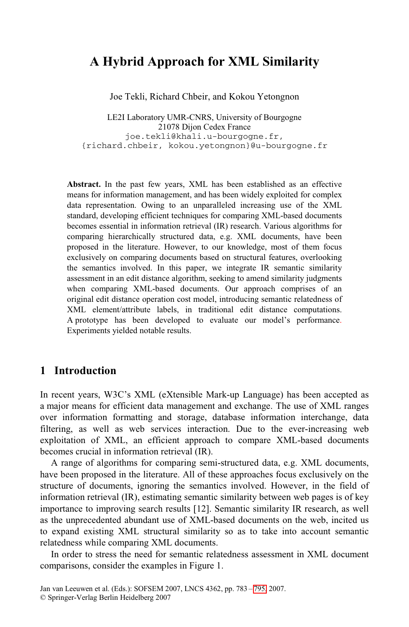# **A Hybrid Approach for XML Similarity**

Joe Tekli, Richard Chbeir, and Kokou Yetongnon

LE2I Laboratory UMR-CNRS, University of Bourgogne 21078 Dijon Cedex France joe.tekli@khali.u-bourgogne.fr, {richard.chbeir, kokou.yetongnon}@u-bourgogne.fr

**Abstract.** In the past few years, XML has been established as an effective means for information management, and has been widely exploited for complex data representation. Owing to an unparalleled increasing use of the XML standard, developing efficient techniques for comparing XML-based documents becomes essential in information retrieval (IR) research. Various algorithms for comparing hierarchically structured data, e.g. XML documents, have been proposed in the literature. However, to our knowledge, most of them focus exclusively on comparing documents based on structural features, overlooking the semantics involved. In this paper, we integrate IR semantic similarity assessment in an edit distance algorithm, seeking to amend similarity judgments when comparing XML-based documents. Our approach comprises of an original edit distance operation cost model, introducing semantic relatedness of XML element/attribute labels, in traditional edit distance computations. A prototype has been developed to evaluate our model's performance. Experiments yielded notable results.

### **1 Introduction**

In recent years, W3C's XML (eXtensible Mark-up Language) has been accepted as a major means for efficient data management and exchange. The use of XML ranges over information formatting and storage, database information interchange, data filtering, as well as web services interaction. Due to the ever-increasing web exploitation of XML, an efficient approach to compare XML-based documents becomes crucial in information retrieval (IR).

A range of algorithms for comparing semi-structured data, e.g. XML documents, have been proposed in the literature. All of these approaches focus exclusively on the structure of documents, ignoring the semantics involved. However, in the field of information retrieval (IR), estimating semantic similarity between web pages is of key importance to improving search results [12]. Semantic similarity IR research, as well as the unprecedented abundant use of XML-based documents on the web, incited us to expand existing XML structural similarity so as to take into account semantic relatedness while comparing XML documents.

In order to stress the need for semantic relatedness assessment in XML document comparisons, consider the examples in Figure 1.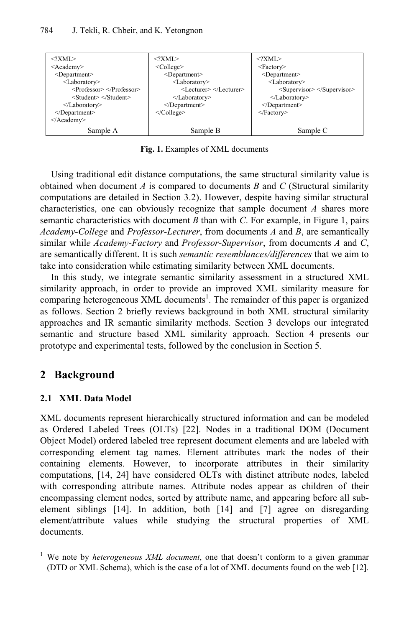

**Fig. 1.** Examples of XML documents

Using traditional edit distance computations, the same structural similarity value is obtained when document *A* is compared to documents *B* and *C* (Structural similarity computations are detailed in Section 3.2). However, despite having similar structural characteristics, one can obviously recognize that sample document *A* shares more semantic characteristics with document *B* than with *C*. For example, in Figure 1, pairs *Academy-College* and *Professor-Lecturer*, from documents *A* and *B*, are semantically similar whil*e Academy-Factory* and *Professor-Supervisor*, from documents *A* and *C*, are semantically different. It is such *semantic resemblances/differences* that we aim to take into consideration while estimating similarity between XML documents.

In this study, we integrate semantic similarity assessment in a structured XML similarity approach, in order to provide an improved XML similarity measure for comparing heterogeneous XML documents<sup>1</sup>. The remainder of this paper is organized as follows. Section 2 briefly reviews background in both XML structural similarity approaches and IR semantic similarity methods. Section 3 develops our integrated semantic and structure based XML similarity approach. Section 4 presents our prototype and experimental tests, followed by the conclusion in Section 5.

## **2 Background**

j

### **2.1 XML Data Model**

XML documents represent hierarchically structured information and can be modeled as Ordered Labeled Trees (OLTs) [22]. Nodes in a traditional DOM (Document Object Model) ordered labeled tree represent document elements and are labeled with corresponding element tag names. Element attributes mark the nodes of their containing elements. However, to incorporate attributes in their similarity computations, [14, 24] have considered OLTs with distinct attribute nodes, labeled with corresponding attribute names. Attribute nodes appear as children of their encompassing element nodes, sorted by attribute name, and appearing before all subelement siblings [14]. In addition, both [14] and [7] agree on disregarding element/attribute values while studying the structural properties of XML documents.

<sup>&</sup>lt;sup>1</sup> We note by *heterogeneous XML document*, one that doesn't conform to a given grammar (DTD or XML Schema), which is the case of a lot of XML documents found on the web [12].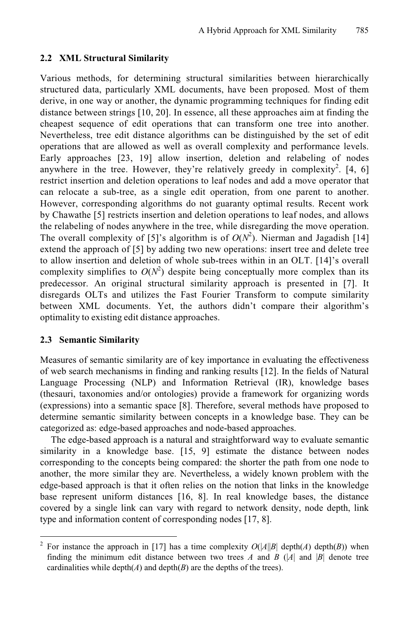#### **2.2 XML Structural Similarity**

Various methods, for determining structural similarities between hierarchically structured data, particularly XML documents, have been proposed. Most of them derive, in one way or another, the dynamic programming techniques for finding edit distance between strings [10, 20]. In essence, all these approaches aim at finding the cheapest sequence of edit operations that can transform one tree into another. Nevertheless, tree edit distance algorithms can be distinguished by the set of edit operations that are allowed as well as overall complexity and performance levels. Early approaches [23, 19] allow insertion, deletion and relabeling of nodes anywhere in the tree. However, they're relatively greedy in complexity<sup>2</sup>. [4, 6] restrict insertion and deletion operations to leaf nodes and add a move operator that can relocate a sub-tree, as a single edit operation, from one parent to another. However, corresponding algorithms do not guaranty optimal results. Recent work by Chawathe [5] restricts insertion and deletion operations to leaf nodes, and allows the relabeling of nodes anywhere in the tree, while disregarding the move operation. The overall complexity of [5]'s algorithm is of  $O(N^2)$ . Nierman and Jagadish [14] extend the approach of [5] by adding two new operations: insert tree and delete tree to allow insertion and deletion of whole sub-trees within in an OLT. [14]'s overall complexity simplifies to  $O(N^2)$  despite being conceptually more complex than its predecessor. An original structural similarity approach is presented in [7]. It disregards OLTs and utilizes the Fast Fourier Transform to compute similarity between XML documents. Yet, the authors didn't compare their algorithm's optimality to existing edit distance approaches.

#### **2.3 Semantic Similarity**

j

Measures of semantic similarity are of key importance in evaluating the effectiveness of web search mechanisms in finding and ranking results [12]. In the fields of Natural Language Processing (NLP) and Information Retrieval (IR), knowledge bases (thesauri, taxonomies and/or ontologies) provide a framework for organizing words (expressions) into a semantic space [8]. Therefore, several methods have proposed to determine semantic similarity between concepts in a knowledge base. They can be categorized as: edge-based approaches and node-based approaches.

The edge-based approach is a natural and straightforward way to evaluate semantic similarity in a knowledge base. [15, 9] estimate the distance between nodes corresponding to the concepts being compared: the shorter the path from one node to another, the more similar they are. Nevertheless, a widely known problem with the edge-based approach is that it often relies on the notion that links in the knowledge base represent uniform distances [16, 8]. In real knowledge bases, the distance covered by a single link can vary with regard to network density, node depth, link type and information content of corresponding nodes [17, 8].

<sup>&</sup>lt;sup>2</sup> For instance the approach in [17] has a time complexity  $O(|A||B| \text{ depth}(A) \text{ depth}(B))$  when finding the minimum edit distance between two trees *A* and *B* ( $|A|$  and  $|B|$  denote tree cardinalities while  $depth(A)$  and  $depth(B)$  are the depths of the trees).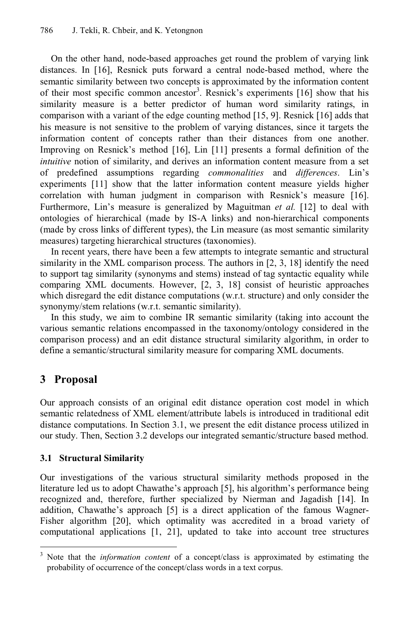On the other hand, node-based approaches get round the problem of varying link distances. In [16], Resnick puts forward a central node-based method, where the semantic similarity between two concepts is approximated by the information content of their most specific common ancestor<sup>3</sup>. Resnick's experiments [16] show that his similarity measure is a better predictor of human word similarity ratings, in comparison with a variant of the edge counting method [15, 9]. Resnick [16] adds that his measure is not sensitive to the problem of varying distances, since it targets the information content of concepts rather than their distances from one another. Improving on Resnick's method [16], Lin [11] presents a formal definition of the *intuitive* notion of similarity, and derives an information content measure from a set of predefined assumptions regarding *commonalities* and *differences*. Lin's experiments [11] show that the latter information content measure yields higher correlation with human judgment in comparison with Resnick's measure [16]. Furthermore, Lin's measure is generalized by Maguitman *et al.* [12] to deal with ontologies of hierarchical (made by IS-A links) and non-hierarchical components (made by cross links of different types), the Lin measure (as most semantic similarity measures) targeting hierarchical structures (taxonomies).

In recent years, there have been a few attempts to integrate semantic and structural similarity in the XML comparison process. The authors in [2, 3, 18] identify the need to support tag similarity (synonyms and stems) instead of tag syntactic equality while comparing XML documents. However, [2, 3, 18] consist of heuristic approaches which disregard the edit distance computations (w.r.t. structure) and only consider the synonymy/stem relations (w.r.t. semantic similarity).

In this study, we aim to combine IR semantic similarity (taking into account the various semantic relations encompassed in the taxonomy/ontology considered in the comparison process) and an edit distance structural similarity algorithm, in order to define a semantic/structural similarity measure for comparing XML documents.

## **3 Proposal**

j

Our approach consists of an original edit distance operation cost model in which semantic relatedness of XML element/attribute labels is introduced in traditional edit distance computations. In Section 3.1, we present the edit distance process utilized in our study. Then, Section 3.2 develops our integrated semantic/structure based method.

### **3.1 Structural Similarity**

Our investigations of the various structural similarity methods proposed in the literature led us to adopt Chawathe's approach [5], his algorithm's performance being recognized and, therefore, further specialized by Nierman and Jagadish [14]. In addition, Chawathe's approach [5] is a direct application of the famous Wagner-Fisher algorithm [20], which optimality was accredited in a broad variety of computational applications [1, 21], updated to take into account tree structures

<sup>&</sup>lt;sup>3</sup> Note that the *information content* of a concept/class is approximated by estimating the probability of occurrence of the concept/class words in a text corpus.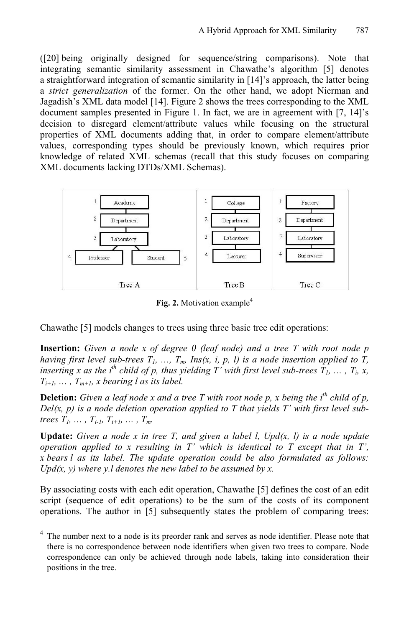([20] being originally designed for sequence/string comparisons). Note that integrating semantic similarity assessment in Chawathe's algorithm [5] denotes a straightforward integration of semantic similarity in [14]'s approach, the latter being a *strict generalization* of the former. On the other hand, we adopt Nierman and Jagadish's XML data model [14]. Figure 2 shows the trees corresponding to the XML document samples presented in Figure 1. In fact, we are in agreement with [7, 14]'s decision to disregard element/attribute values while focusing on the structural properties of XML documents adding that, in order to compare element/attribute values, corresponding types should be previously known, which requires prior knowledge of related XML schemas (recall that this study focuses on comparing XML documents lacking DTDs/XML Schemas).



Fig. 2. Motivation example<sup>4</sup>

Chawathe [5] models changes to trees using three basic tree edit operations:

**Insertion:** *Given a node x of degree 0 (leaf node) and a tree T with root node p having first level sub-trees*  $T_1$ , ...,  $T_m$ ,  $Ins(x, i, p, l)$  is a node insertion applied to  $\overline{T}$ , *inserting x as the i<sup>th</sup> child of p, thus yielding T' with first level sub-trees*  $T_1, \ldots, T_i, x$ *,*  $T_{i+1}, \ldots, T_{m+1}, x$  bearing l as its label.

**Deletion:** *Given a leaf node x and a tree T with root node p, x being the*  $i^{th}$  *child of p, Del(x, p) is a node deletion operation applied to T that yields T' with first level subtrees*  $T_1, \ldots, T_{i-1}, T_{i+1}, \ldots, T_m$ .

**Update:** *Given a node x in tree T, and given a label l, Upd(x, l) is a node update operation applied to x resulting in T' which is identical to T except that in T', x bears l as its label. The update operation could be also formulated as follows: Upd(x, y)* where y.l denotes the new label to be assumed by x.

By associating costs with each edit operation, Chawathe [5] defines the cost of an edit script (sequence of edit operations) to be the sum of the costs of its component operations. The author in [5] subsequently states the problem of comparing trees:

-

<sup>4</sup> The number next to a node is its preorder rank and serves as node identifier. Please note that there is no correspondence between node identifiers when given two trees to compare. Node correspondence can only be achieved through node labels, taking into consideration their positions in the tree.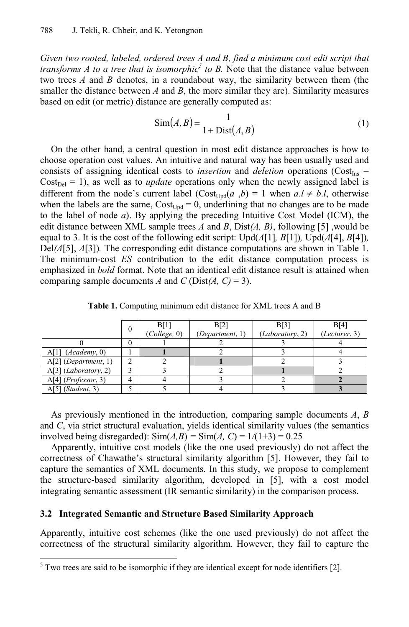*Given two rooted, labeled, ordered trees A and B, find a minimum cost edit script that transforms A to a tree that is isomorphic*<sup>5</sup> to B. Note that the distance value between two trees *A* and *B* denotes, in a roundabout way, the similarity between them (the smaller the distance between *A* and *B*, the more similar they are). Similarity measures based on edit (or metric) distance are generally computed as:

$$
Sim(A, B) = \frac{1}{1 + Dist(A, B)}
$$
(1)

On the other hand, a central question in most edit distance approaches is how to choose operation cost values. An intuitive and natural way has been usually used and consists of assigning identical costs to *insertion* and *deletion* operations ( $Cost_{Ins}$  =  $Cost<sub>Del</sub> = 1$ , as well as to *update* operations only when the newly assigned label is different from the node's current label  $(Cost_{Und}(a, b) = 1$  when  $a, l \neq b, l$ , otherwise when the labels are the same,  $Cost_{Upd} = 0$ , underlining that no changes are to be made to the label of node *a*). By applying the preceding Intuitive Cost Model (ICM), the edit distance between XML sample trees *A* and *B*, Dist*(A, B)*, following [5] ,would be equal to 3. It is the cost of the following edit script: Upd( $A[1]$ ,  $B[1]$ )*,* Upd( $A[4]$ ,  $B[4]$ )*,* Del*(A*[5], *A*[3])*.* The corresponding edit distance computations are shown in Table 1. The minimum-cost *ES* contribution to the edit distance computation process is emphasized in *bold* format. Note that an identical edit distance result is attained when comparing sample documents *A* and *C* (Dist $(A, C) = 3$ ).

|                                 | 0 | B[1]         | B[2]            | B[3]            | B[4]          |  |
|---------------------------------|---|--------------|-----------------|-----------------|---------------|--|
|                                 |   | (College, 0) | (Department, 1) | (Laboratory, 2) | (Lecturer, 3) |  |
|                                 |   |              |                 |                 |               |  |
| $A[1]$ ( <i>Academy</i> , 0)    |   |              |                 |                 |               |  |
| $A[2]$ (Department, 1)          |   |              |                 |                 |               |  |
| $A[3]$ ( <i>Laboratory</i> , 2) |   |              |                 |                 |               |  |
| $A[4]$ ( <i>Professor</i> , 3)  |   |              |                 |                 |               |  |
| $A[5]$ ( <i>Student</i> , 3)    |   |              |                 |                 |               |  |

**Table 1.** Computing minimum edit distance for XML trees A and B

As previously mentioned in the introduction, comparing sample documents *A*, *B* and *C*, via strict structural evaluation, yields identical similarity values (the semantics involved being disregarded):  $\text{Sim}(A, B) = \text{Sim}(A, C) = 1/(1+3) = 0.25$ 

Apparently, intuitive cost models (like the one used previously) do not affect the correctness of Chawathe's structural similarity algorithm [5]. However, they fail to capture the semantics of XML documents. In this study, we propose to complement the structure-based similarity algorithm, developed in [5], with a cost model integrating semantic assessment (IR semantic similarity) in the comparison process.

#### **3.2 Integrated Semantic and Structure Based Similarity Approach**

Apparently, intuitive cost schemes (like the one used previously) do not affect the correctness of the structural similarity algorithm. However, they fail to capture the

<sup>&</sup>lt;sup>5</sup> Two trees are said to be isomorphic if they are identical except for node identifiers [2].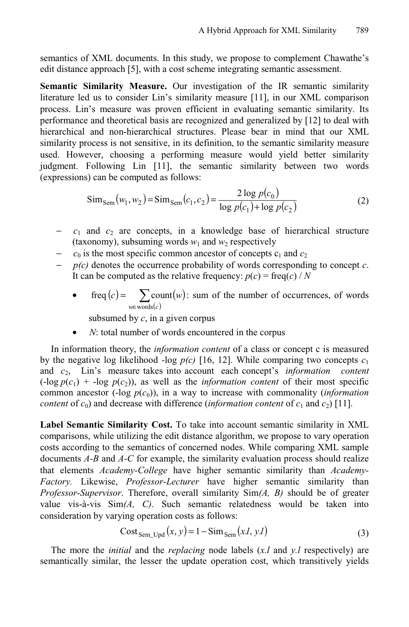semantics of XML documents. In this study, we propose to complement Chawathe's edit distance approach [5], with a cost scheme integrating semantic assessment.

**Semantic Similarity Measure.** Our investigation of the IR semantic similarity literature led us to consider Lin's similarity measure [11], in our XML comparison process. Lin's measure was proven efficient in evaluating semantic similarity. Its performance and theoretical basis are recognized and generalized by [12] to deal with hierarchical and non-hierarchical structures. Please bear in mind that our XML similarity process is not sensitive, in its definition, to the semantic similarity measure used. However, choosing a performing measure would yield better similarity judgment. Following Lin [11], the semantic similarity between two words (expressions) can be computed as follows:

$$
\text{Sim}_{\text{Sem}}(w_1, w_2) = \text{Sim}_{\text{Sem}}(c_1, c_2) = \frac{2 \log p(c_0)}{\log p(c_1) + \log p(c_2)}\tag{2}
$$

- $c_1$  and  $c_2$  are concepts, in a knowledge base of hierarchical structure (taxonomy), subsuming words  $w_1$  and  $w_2$  respectively
- $c_0$  is the most specific common ancestor of concepts  $c_1$  and  $c_2$
- − *p(c)* denotes the occurrence probability of words corresponding to concept *c*. It can be computed as the relative frequency:  $p(c) = \text{freq}(c) / N$ 
	- freq  $(c)$  =  $\sum$  count  $(w)$  $\sum_{\substack{\in \text{words}(c)}}$ = *w*∈ words(*c*  $c = \sum \text{count}(w)$ words freq  $(c)$  =  $\sum$  count  $(w)$ : sum of the number of occurrences, of words

subsumed by *c*, in a given corpus

*N*: total number of words encountered in the corpus

In information theory, the *information content* of a class or concept c is measured by the negative log likelihood *-*log  $p(c)$  [16, 12]. While comparing two concepts  $c_1$ and  $c_2$ , Lin's measure takes into account each concept's *information content*  $(\text{-log } p(c_1) + \text{-log } p(c_2))$ , as well as the *information content* of their most specific common ancestor  $(-\log p(c_0))$ , in a way to increase with commonality *(information*) *content* of  $c_0$ ) and decrease with difference (*information content* of  $c_1$  and  $c_2$ ) [11].

**Label Semantic Similarity Cost.** To take into account semantic similarity in XML comparisons, while utilizing the edit distance algorithm, we propose to vary operation costs according to the semantics of concerned nodes. While comparing XML sample documents *A-B* and *A-C* for example, the similarity evaluation process should realize that elements *Academy-College* have higher semantic similarity than *Academy-Factory.* Likewise, *Professor-Lecturer* have higher semantic similarity than *Professor-Supervisor*. Therefore, overall similarity Sim*(A, B)* should be of greater value vis-à-vis Sim*(A, C)*. Such semantic relatedness would be taken into consideration by varying operation costs as follows:

$$
Cost_{Sem\_Upd}(x, y) = 1 - Sim_{Sem}(x.l, y.l)
$$
\n(3)

The more the *initial* and the *replacing* node labels (*x.l* and *y.l* respectively) are semantically similar, the lesser the update operation cost, which transitively yields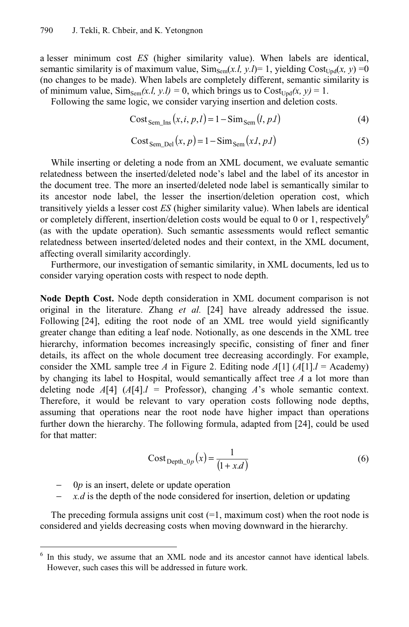a lesser minimum cost *ES* (higher similarity value). When labels are identical, semantic similarity is of maximum value,  $\text{Sim}_{\text{Sem}}(x, l, y, l) = 1$ , yielding  $\text{Cost}_{\text{Und}}(x, y) = 0$ (no changes to be made). When labels are completely different, semantic similarity is of minimum value,  $\text{Sim}_{\text{Sem}}(x, l, y, l) = 0$ , which brings us to  $\text{Cost}_{\text{Und}}(x, y) = 1$ .

Following the same logic, we consider varying insertion and deletion costs.

$$
CostSem_{\text{Lins}}(x, i, p, l) = 1 - SimSem(l, p, l)
$$
 (4)

$$
Cost_{Sem\_Del}(x, p) = 1 - Sim_{Sem}(x.l, p.l)
$$
 (5)

While inserting or deleting a node from an XML document, we evaluate semantic relatedness between the inserted/deleted node's label and the label of its ancestor in the document tree. The more an inserted/deleted node label is semantically similar to its ancestor node label, the lesser the insertion/deletion operation cost, which transitively yields a lesser cost *ES* (higher similarity value). When labels are identical or completely different, insertion/deletion costs would be equal to 0 or 1, respectively<sup>6</sup> (as with the update operation). Such semantic assessments would reflect semantic relatedness between inserted/deleted nodes and their context, in the XML document, affecting overall similarity accordingly.

Furthermore, our investigation of semantic similarity, in XML documents, led us to consider varying operation costs with respect to node depth.

**Node Depth Cost.** Node depth consideration in XML document comparison is not original in the literature. Zhang *et al.* [24] have already addressed the issue. Following [24], editing the root node of an XML tree would yield significantly greater change than editing a leaf node. Notionally, as one descends in the XML tree hierarchy, information becomes increasingly specific, consisting of finer and finer details, its affect on the whole document tree decreasing accordingly. For example, consider the XML sample tree *A* in Figure 2. Editing node  $A[1]$  ( $A[1]$ .*l* = Academy) by changing its label to Hospital, would semantically affect tree *A* a lot more than deleting node  $A[4]$  ( $A[4]$ , $l =$  Professor), changing  $A$ 's whole semantic context. Therefore, it would be relevant to vary operation costs following node depths, assuming that operations near the root node have higher impact than operations further down the hierarchy. The following formula, adapted from [24], could be used for that matter:

$$
CostDepth_0p(x) = \frac{1}{(1 + x.d)}
$$
 (6)

− 0*p* is an insert, delete or update operation

j

*x.d* is the depth of the node considered for insertion, deletion or updating

The preceding formula assigns unit cost  $(=1, \text{maximum cost})$  when the root node is considered and yields decreasing costs when moving downward in the hierarchy.

<sup>6</sup> In this study, we assume that an XML node and its ancestor cannot have identical labels. However, such cases this will be addressed in future work.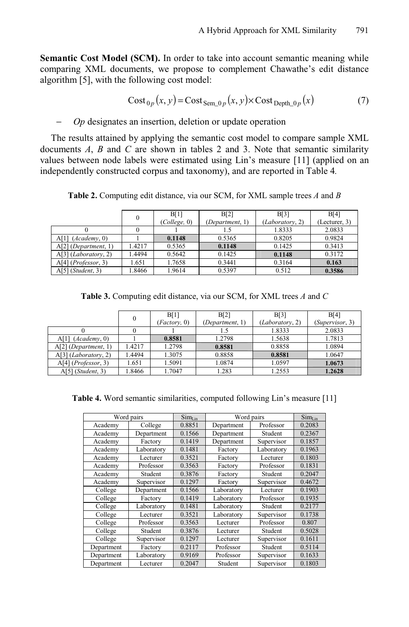**Semantic Cost Model (SCM).** In order to take into account semantic meaning while comparing XML documents, we propose to complement Chawathe's edit distance algorithm [5], with the following cost model:

$$
Cost_{0p}(x, y) = Cost_{Sem\_0p}(x, y) \times Cost_{Depth\_0p}(x)
$$
 (7)

− *Op* designates an insertion, deletion or update operation

The results attained by applying the semantic cost model to compare sample XML documents *A*, *B* and *C* are shown in tables 2 and 3. Note that semantic similarity values between node labels were estimated using Lin's measure [11] (applied on an independently constructed corpus and taxonomy), and are reported in Table 4*.*

**Table 2.** Computing edit distance, via our SCM, for XML sample trees *A* and *B*

|                                | $\theta$ | B[1]         | B[2]            | B[3]            | B[4]          |  |
|--------------------------------|----------|--------------|-----------------|-----------------|---------------|--|
|                                |          | (College, 0) | (Department, 1) | (Laboratory, 2) | (Lecturer, 3) |  |
|                                |          |              |                 | 1.8333          | 2.0833        |  |
| $A[1]$ ( <i>Academy</i> , 0)   |          | 0.1148       | 0.5365          | 0.8205          | 0.9824        |  |
| $A[2]$ (Department, 1)         | 1.4217   | 0.5365       | 0.1148          | 0.1425          | 0.3413        |  |
| A[3] (Laboratory, 2)           | .4494    | 0.5642       | 0.1425          | 0.1148          | 0.3172        |  |
| $A[4]$ ( <i>Professor</i> , 3) | 1.651    | 1.7658       | 0.3441          | 0.3164          | 0.163         |  |
| $A[5]$ ( <i>Student</i> , 3)   | .8466    | 1.9614       | 0.5397          | 0.512           | 0.3586        |  |

|                                | $\Omega$ | B[1]<br>(Factory, 0) | B[2]<br>(Department, 1) | B[3]<br>(Laboratory, 2) | B[4]<br>(Supervisor, 3) |
|--------------------------------|----------|----------------------|-------------------------|-------------------------|-------------------------|
|                                |          |                      |                         | 1.8333                  | 2.0833                  |
| $A[1]$ ( <i>Academy</i> , 0)   |          | 0.8581               | 1.2798                  | 1.5638                  | 1.7813                  |
| $A[2]$ (Department, 1)         | 1.4217   | 1.2798               | 0.8581                  | 0.8858                  | 1.0894                  |
| A[3] (Laboratory, 2)           | 1.4494   | 1.3075               | 0.8858                  | 0.8581                  | 1.0647                  |
| $A[4]$ ( <i>Professor</i> , 3) | 1.651    | 1.5091               | 1.0874                  | 1.0597                  | 1.0673                  |
| $A[5]$ ( <i>Student</i> , 3)   | 1.8466   | 1.7047               | 1.283                   | 1.2553                  | 1.2628                  |

**Table 4.** Word semantic similarities, computed following Lin's measure [11]

| Word pairs |            | $Sim_{Lin}$ | Word pairs              |            | $Sim_{Lin}$ |
|------------|------------|-------------|-------------------------|------------|-------------|
| Academy    | College    | 0.8851      | Professor<br>Department |            | 0.2083      |
| Academy    | Department | 0.1566      | Department              | Student    | 0.2367      |
| Academy    | Factory    | 0.1419      | Department              | Supervisor | 0.1857      |
| Academy    | Laboratory | 0.1481      | Factory                 | Laboratory | 0.1963      |
| Academy    | Lecturer   | 0.3521      | Factory                 | Lecturer   | 0.1803      |
| Academy    | Professor  | 0.3563      | Factory                 | Professor  | 0.1831      |
| Academy    | Student    | 0.3876      | Factory                 | Student    | 0.2047      |
| Academy    | Supervisor |             | Factory                 | Supervisor | 0.4672      |
| College    | Department | 0.1566      | Laboratory              | Lecturer   | 0.1903      |
| College    | Factory    | 0.1419      | Laboratory              | Professor  | 0.1935      |
| College    | Laboratory | 0.1481      | Laboratory              | Student    | 0.2177      |
| College    | Lecturer   | 0.3521      | Laboratory              | Supervisor | 0.1738      |
| College    | Professor  | 0.3563      | Lecturer                | Professor  | 0.807       |
| College    | Student    | 0.3876      | Lecturer                | Student    | 0.5028      |
| College    | Supervisor | 0.1297      | Lecturer                | Supervisor | 0.1611      |
| Department | Factory    | 0.2117      | Professor               | Student    | 0.5114      |
| Department | Laboratory | 0.9169      | Professor<br>Supervisor |            | 0.1633      |
| Department | Lecturer   | 0.2047      | Student                 | Supervisor | 0.1803      |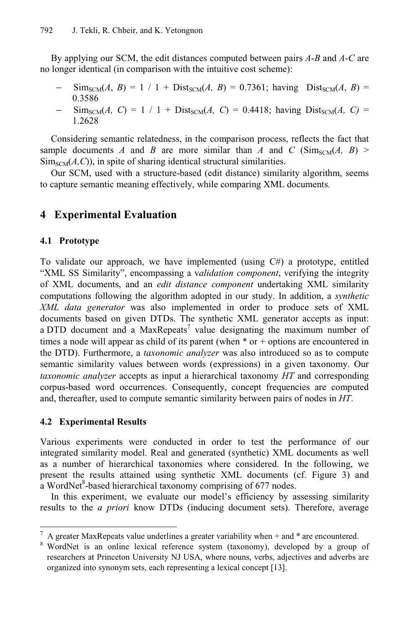By applying our SCM, the edit distances computed between pairs *A-B* and *A-C* are no longer identical (in comparison with the intuitive cost scheme):

- $\text{Sim}_{\text{SCM}}(A, B) = 1 / 1 + \text{Dist}_{\text{SCM}}(A, B) = 0.7361$ ; having  $\text{Dist}_{\text{SCM}}(A, B) =$ 0.3586
- $\text{Sim}_{SCM}(A, C) = 1 / 1 + \text{Dist}_{SCM}(A, C) = 0.4418$ ; having  $\text{Dist}_{SCM}(A, C) =$ 1.2628

Considering semantic relatedness, in the comparison process, reflects the fact that sample documents *A* and *B* are more similar than *A* and *C* (Sim<sub>SCM</sub> $(A, B)$ )  $\text{Sim}_{\text{SCM}}(A, C)$ , in spite of sharing identical structural similarities.

Our SCM, used with a structure-based (edit distance) similarity algorithm, seems to capture semantic meaning effectively, while comparing XML documents.

## **4 Experimental Evaluation**

### **4.1 Prototype**

To validate our approach, we have implemented (using C#) a prototype, entitled "XML SS Similarity", encompassing a v*alidation component*, verifying the integrity of XML documents, and an *edit distance component* undertaking XML similarity computations following the algorithm adopted in our study. In addition, a *synthetic XML data generator* was also implemented in order to produce sets of XML documents based on given DTDs. The synthetic XML generator accepts as input: a DTD document and a MaxRepeats<sup>7</sup> value designating the maximum number of times a node will appear as child of its parent (when \* or + options are encountered in the DTD). Furthermore, a *taxonomic analyzer* was also introduced so as to compute semantic similarity values between words (expressions) in a given taxonomy. Our *taxonomic analyzer* accepts as input a hierarchical taxonomy *HT* and corresponding corpus-based word occurrences. Consequently, concept frequencies are computed and, thereafter, used to compute semantic similarity between pairs of nodes in *HT*.

### **4.2 Experimental Results**

l

Various experiments were conducted in order to test the performance of our integrated similarity model. Real and generated (synthetic) XML documents as well as a number of hierarchical taxonomies where considered. In the following, we present the results attained using synthetic XML documents (cf. Figure 3) and a WordNet<sup>8</sup>-based hierarchical taxonomy comprising of 677 nodes.

In this experiment, we evaluate our model's efficiency by assessing similarity results to the *a priori* know DTDs (inducing document sets). Therefore, average

<sup>7</sup> A greater MaxRepeats value underlines a greater variability when + and \* are encountered.

<sup>&</sup>lt;sup>8</sup> WordNet is an online lexical reference system (taxonomy), developed by a group of researchers at Princeton University NJ USA, where nouns, verbs, adjectives and adverbs are organized into synonym sets, each representing a lexical concept [13].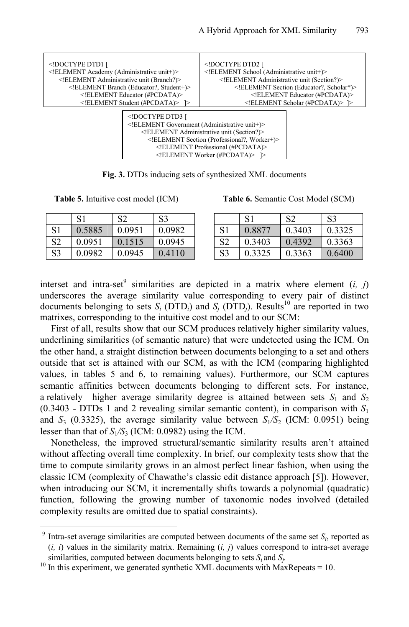

**Fig. 3.** DTDs inducing sets of synthesized XML documents

l

**Table 5.** Intuitive cost model (ICM) **Table 6.** Semantic Cost Model (SCM)

|                | ΩI     | $\mathbf{C}$<br>⊿ت | S3     |           | c<br>$\mathbf{D}$ | $\mathbf{C}$<br>⊿ت | S3     |
|----------------|--------|--------------------|--------|-----------|-------------------|--------------------|--------|
| C <sub>1</sub> | 0.5885 | 0.0951             | 0.0982 | C11<br>OІ | 0.8877            | 0.3403             | 0.3325 |
| S2             | 0.0951 | 0.1515             | 0.0945 | S2        | 0.3403            | 0.4392             | 0.3363 |
| S <sub>3</sub> | 0.0982 | 0.0945             | 0.4110 | S3        | 0.3325            | 0.3363             | 0.6400 |

interset and intra-set<sup>9</sup> similarities are depicted in a matrix where element  $(i, j)$ underscores the average similarity value corresponding to every pair of distinct documents belonging to sets  $S_i$  (DTD<sub>*i*</sub>) and  $S_i$  (DTD<sub>*i*</sub>). Results<sup>10</sup> are reported in two matrixes, corresponding to the intuitive cost model and to our SCM:

First of all, results show that our SCM produces relatively higher similarity values, underlining similarities (of semantic nature) that were undetected using the ICM. On the other hand, a straight distinction between documents belonging to a set and others outside that set is attained with our SCM, as with the ICM (comparing highlighted values, in tables 5 and 6, to remaining values). Furthermore, our SCM captures semantic affinities between documents belonging to different sets. For instance, a relatively higher average similarity degree is attained between sets  $S_1$  and  $S_2$ (0.3403 - DTDs 1 and 2 revealing similar semantic content), in comparison with *S*<sup>1</sup> and  $S_3$  (0.3325), the average similarity value between  $S_1/S_2$  (ICM: 0.0951) being lesser than that of  $S_1/S_3$  (ICM: 0.0982) using the ICM.

Nonetheless, the improved structural/semantic similarity results aren't attained without affecting overall time complexity. In brief, our complexity tests show that the time to compute similarity grows in an almost perfect linear fashion, when using the classic ICM (complexity of Chawathe's classic edit distance approach [5]). However, when introducing our SCM, it incrementally shifts towards a polynomial (quadratic) function, following the growing number of taxonomic nodes involved (detailed complexity results are omitted due to spatial constraints).

 $9$  Intra-set average similarities are computed between documents of the same set  $S_i$ , reported as  $(i, i)$  values in the similarity matrix. Remaining  $(i, j)$  values correspond to intra-set average

similarities, computed between documents belonging to sets  $S_i$  and  $S_j$ .<br><sup>10</sup> In this experiment, we generated synthetic XML documents with MaxRepeats = 10.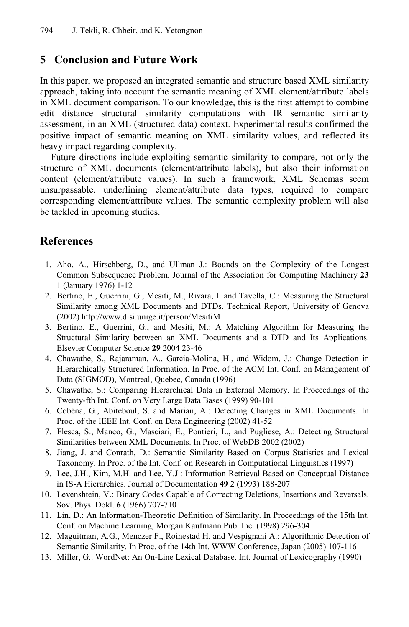### **5 Conclusion and Future Work**

In this paper, we proposed an integrated semantic and structure based XML similarity approach, taking into account the semantic meaning of XML element/attribute labels in XML document comparison. To our knowledge, this is the first attempt to combine edit distance structural similarity computations with IR semantic similarity assessment, in an XML (structured data) context. Experimental results confirmed the positive impact of semantic meaning on XML similarity values, and reflected its heavy impact regarding complexity.

Future directions include exploiting semantic similarity to compare, not only the structure of XML documents (element/attribute labels), but also their information content (element/attribute values). In such a framework, XML Schemas seem unsurpassable, underlining element/attribute data types, required to compare corresponding element/attribute values. The semantic complexity problem will also be tackled in upcoming studies.

### **References**

- 1. Aho, A., Hirschberg, D., and Ullman J.: Bounds on the Complexity of the Longest Common Subsequence Problem. Journal of the Association for Computing Machinery **23**  1 (January 1976) 1-12
- 2. Bertino, E., Guerrini, G., Mesiti, M., Rivara, I. and Tavella, C.: Measuring the Structural Similarity among XML Documents and DTDs. Technical Report, University of Genova (2002) http://www.disi.unige.it/person/MesitiM
- 3. Bertino, E., Guerrini, G., and Mesiti, M.: A Matching Algorithm for Measuring the Structural Similarity between an XML Documents and a DTD and Its Applications. Elsevier Computer Science **29** 2004 23-46
- 4. Chawathe, S., Rajaraman, A., Garcia-Molina, H., and Widom, J.: Change Detection in Hierarchically Structured Information. In Proc. of the ACM Int. Conf. on Management of Data (SIGMOD), Montreal, Quebec, Canada (1996)
- 5. Chawathe, S.: Comparing Hierarchical Data in External Memory. In Proceedings of the Twenty-fth Int. Conf. on Very Large Data Bases (1999) 90-101
- 6. Cobéna, G., Abiteboul, S. and Marian, A.: Detecting Changes in XML Documents. In Proc. of the IEEE Int. Conf. on Data Engineering (2002) 41-52
- 7. Flesca, S., Manco, G., Masciari, E., Pontieri, L., and Pugliese, A.: Detecting Structural Similarities between XML Documents. In Proc. of WebDB 2002 (2002)
- 8. Jiang, J. and Conrath, D.: Semantic Similarity Based on Corpus Statistics and Lexical Taxonomy. In Proc. of the Int. Conf. on Research in Computational Linguistics (1997)
- 9. Lee, J.H., Kim, M.H. and Lee, Y.J.: Information Retrieval Based on Conceptual Distance in IS-A Hierarchies. Journal of Documentation **49** 2 (1993) 188-207
- 10. Levenshtein, V.: Binary Codes Capable of Correcting Deletions, Insertions and Reversals. Sov. Phys. Dokl. **6** (1966) 707-710
- 11. Lin, D.: An Information-Theoretic Definition of Similarity. In Proceedings of the 15th Int. Conf. on Machine Learning, Morgan Kaufmann Pub. Inc. (1998) 296-304
- 12. Maguitman, A.G., Menczer F., Roinestad H. and Vespignani A.: Algorithmic Detection of Semantic Similarity. In Proc. of the 14th Int. WWW Conference, Japan (2005) 107-116
- 13. Miller, G.: WordNet: An On-Line Lexical Database. Int. Journal of Lexicography (1990)